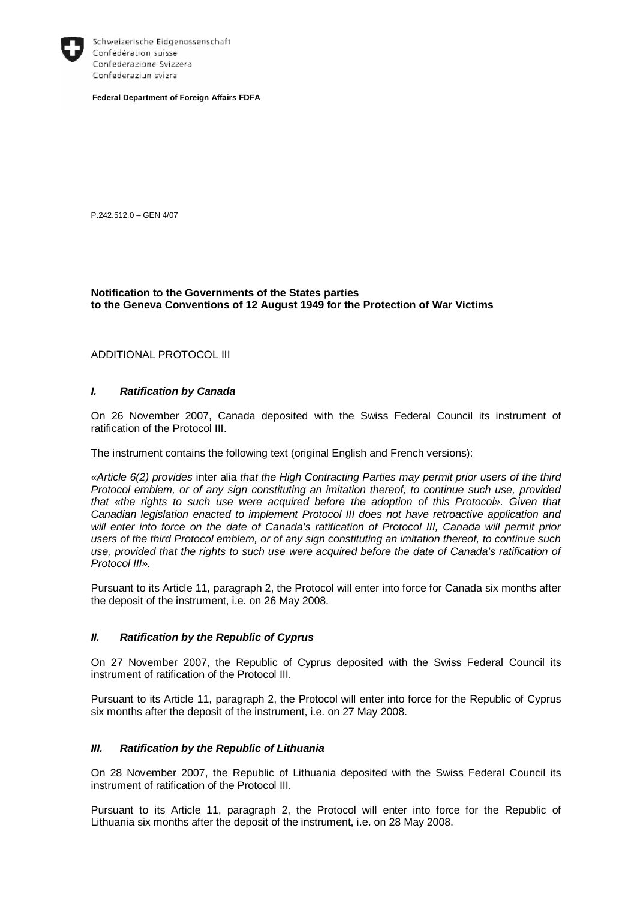

Schweizerische Eidgenossenschaft Confédération suisse Confederazione Svizzera Confederaziun svizra

**Federal Department of Foreign Affairs FDFA** 

P.242.512.0 – GEN 4/07

### **Notification to the Governments of the States parties to the Geneva Conventions of 12 August 1949 for the Protection of War Victims**

ADDITIONAL PROTOCOL III

## *I. Ratification by Canada*

On 26 November 2007, Canada deposited with the Swiss Federal Council its instrument of ratification of the Protocol III.

The instrument contains the following text (original English and French versions):

*«Article 6(2) provides* inter alia *that the High Contracting Parties may permit prior users of the third Protocol emblem, or of any sign constituting an imitation thereof, to continue such use, provided that «the rights to such use were acquired before the adoption of this Protocol». Given that Canadian legislation enacted to implement Protocol III does not have retroactive application and will enter into force on the date of Canada's ratification of Protocol III, Canada will permit prior users of the third Protocol emblem, or of any sign constituting an imitation thereof, to continue such use, provided that the rights to such use were acquired before the date of Canada's ratification of Protocol III».* 

Pursuant to its Article 11, paragraph 2, the Protocol will enter into force for Canada six months after the deposit of the instrument, i.e. on 26 May 2008.

#### *II. Ratification by the Republic of Cyprus*

On 27 November 2007, the Republic of Cyprus deposited with the Swiss Federal Council its instrument of ratification of the Protocol III.

Pursuant to its Article 11, paragraph 2, the Protocol will enter into force for the Republic of Cyprus six months after the deposit of the instrument, i.e. on 27 May 2008.

### *III. Ratification by the Republic of Lithuania*

On 28 November 2007, the Republic of Lithuania deposited with the Swiss Federal Council its instrument of ratification of the Protocol III.

Pursuant to its Article 11, paragraph 2, the Protocol will enter into force for the Republic of Lithuania six months after the deposit of the instrument, i.e. on 28 May 2008.